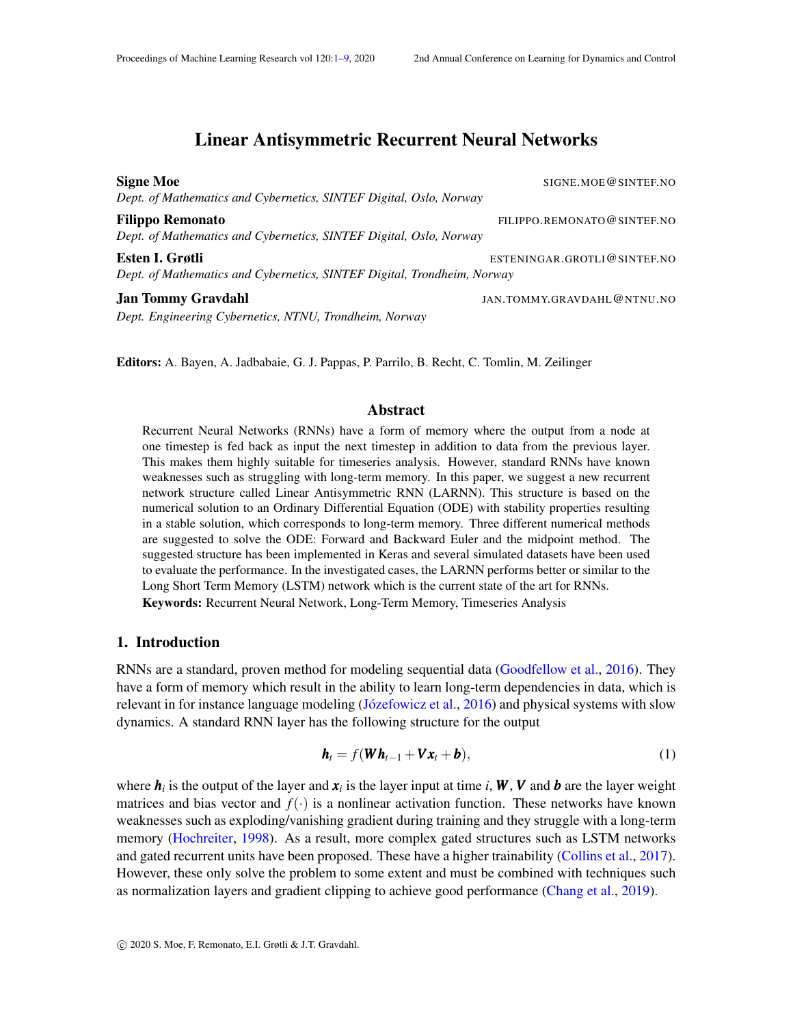# Linear Antisymmetric Recurrent Neural Networks

<span id="page-0-0"></span>Signe Moe SIGNE.MOE@SINTEF.NO *Dept. of Mathematics and Cybernetics, SINTEF Digital, Oslo, Norway* Filippo Remonato **Filippo Remonato FILIPPO.REMONATO** @SINTEF.NO *Dept. of Mathematics and Cybernetics, SINTEF Digital, Oslo, Norway* Esten I. Grøtli ESTENINGAR.GROTLI@SINTEF.NO *Dept. of Mathematics and Cybernetics, SINTEF Digital, Trondheim, Norway* Jan Tommy Gravdahl JAN.TOMMY.GRAVDAHL@NTNU.NO *Dept. Engineering Cybernetics, NTNU, Trondheim, Norway*

Editors: A. Bayen, A. Jadbabaie, G. J. Pappas, P. Parrilo, B. Recht, C. Tomlin, M. Zeilinger

#### Abstract

Recurrent Neural Networks (RNNs) have a form of memory where the output from a node at one timestep is fed back as input the next timestep in addition to data from the previous layer. This makes them highly suitable for timeseries analysis. However, standard RNNs have known weaknesses such as struggling with long-term memory. In this paper, we suggest a new recurrent network structure called Linear Antisymmetric RNN (LARNN). This structure is based on the numerical solution to an Ordinary Differential Equation (ODE) with stability properties resulting in a stable solution, which corresponds to long-term memory. Three different numerical methods are suggested to solve the ODE: Forward and Backward Euler and the midpoint method. The suggested structure has been implemented in Keras and several simulated datasets have been used to evaluate the performance. In the investigated cases, the LARNN performs better or similar to the Long Short Term Memory (LSTM) network which is the current state of the art for RNNs. Keywords: Recurrent Neural Network, Long-Term Memory, Timeseries Analysis

#### 1. Introduction

RNNs are a standard, proven method for modeling sequential data [\(Goodfellow et al.,](#page-8-1) [2016\)](#page-8-1). They have a form of memory which result in the ability to learn long-term dependencies in data, which is relevant in for instance language modeling (Józefowicz et al., [2016\)](#page-8-2) and physical systems with slow dynamics. A standard RNN layer has the following structure for the output

$$
\boldsymbol{h}_t = f(\boldsymbol{W}\boldsymbol{h}_{t-1} + \boldsymbol{V}\boldsymbol{x}_t + \boldsymbol{b}),
$$
\n(1)

where  $h_i$  is the output of the layer and  $x_i$  is the layer input at time *i*,  $W$ ,  $V$  and  $b$  are the layer weight matrices and bias vector and  $f(\cdot)$  is a nonlinear activation function. These networks have known weaknesses such as exploding/vanishing gradient during training and they struggle with a long-term memory [\(Hochreiter,](#page-8-3) [1998\)](#page-8-3). As a result, more complex gated structures such as LSTM networks and gated recurrent units have been proposed. These have a higher trainability [\(Collins et al.,](#page-8-4) [2017\)](#page-8-4). However, these only solve the problem to some extent and must be combined with techniques such as normalization layers and gradient clipping to achieve good performance [\(Chang et al.,](#page-8-5) [2019\)](#page-8-5).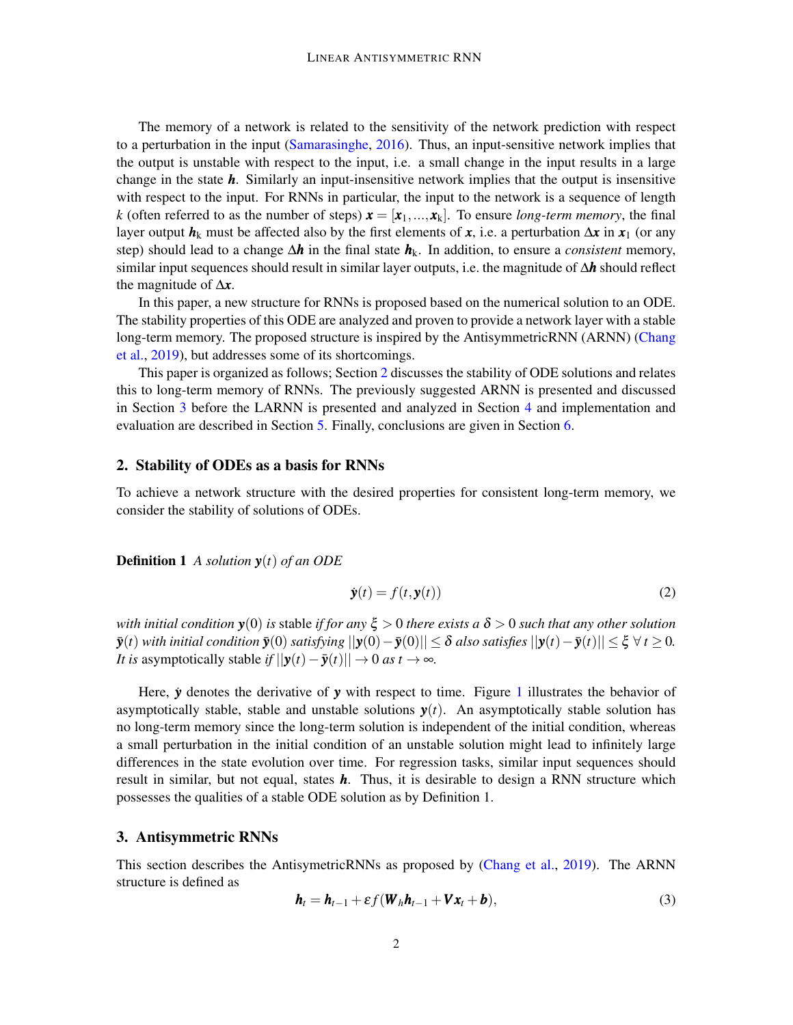The memory of a network is related to the sensitivity of the network prediction with respect to a perturbation in the input [\(Samarasinghe,](#page-8-6) [2016\)](#page-8-6). Thus, an input-sensitive network implies that the output is unstable with respect to the input, i.e. a small change in the input results in a large change in the state *h*. Similarly an input-insensitive network implies that the output is insensitive with respect to the input. For RNNs in particular, the input to the network is a sequence of length *k* (often referred to as the number of steps)  $\mathbf{x} = [\mathbf{x}_1, ..., \mathbf{x}_k]$ . To ensure *long-term memory*, the final layer output  $h_k$  must be affected also by the first elements of *x*, i.e. a perturbation  $\Delta x$  in  $x_1$  (or any step) should lead to a change ∆*h* in the final state *h*k. In addition, to ensure a *consistent* memory, similar input sequences should result in similar layer outputs, i.e. the magnitude of ∆*h* should reflect the magnitude of ∆*x*.

In this paper, a new structure for RNNs is proposed based on the numerical solution to an ODE. The stability properties of this ODE are analyzed and proven to provide a network layer with a stable long-term memory. The proposed structure is inspired by the AntisymmetricRNN (ARNN) [\(Chang](#page-8-5) [et al.,](#page-8-5) [2019\)](#page-8-5), but addresses some of its shortcomings.

This paper is organized as follows; Section [2](#page-1-0) discusses the stability of ODE solutions and relates this to long-term memory of RNNs. The previously suggested ARNN is presented and discussed in Section [3](#page-1-1) before the LARNN is presented and analyzed in Section [4](#page-3-0) and implementation and evaluation are described in Section [5.](#page-4-0) Finally, conclusions are given in Section [6.](#page-7-0)

### <span id="page-1-0"></span>2. Stability of ODEs as a basis for RNNs

To achieve a network structure with the desired properties for consistent long-term memory, we consider the stability of solutions of ODEs.

Definition 1 *A solution y*(*t*) *of an ODE*

$$
\dot{\mathbf{y}}(t) = f(t, \mathbf{y}(t)) \tag{2}
$$

*with initial condition y*(0) *is* stable *if for any* ξ > 0 *there exists a* δ > 0 *such that any other solution*  $|\mathbf{y}(t)| \leq \delta$  *also satisfying*  $||\mathbf{y}(0) - \mathbf{y}(0)|| \leq \delta$  *also satisfies*  $||\mathbf{y}(t) - \mathbf{y}(t)|| \leq \xi \; \forall \; t \geq 0$ . *It is* asymptotically stable *if*  $||y(t) - \bar{y}(t)|| \rightarrow 0$  *as*  $t \rightarrow \infty$ *.* 

Here,  $\dot{y}$  denotes the derivative of  $y$  with respect to time. Figure [1](#page-2-0) illustrates the behavior of asymptotically stable, stable and unstable solutions  $y(t)$ . An asymptotically stable solution has no long-term memory since the long-term solution is independent of the initial condition, whereas a small perturbation in the initial condition of an unstable solution might lead to infinitely large differences in the state evolution over time. For regression tasks, similar input sequences should result in similar, but not equal, states *h*. Thus, it is desirable to design a RNN structure which possesses the qualities of a stable ODE solution as by Definition 1.

#### <span id="page-1-1"></span>3. Antisymmetric RNNs

This section describes the AntisymetricRNNs as proposed by [\(Chang et al.,](#page-8-5) [2019\)](#page-8-5). The ARNN structure is defined as

<span id="page-1-2"></span>
$$
\boldsymbol{h}_t = \boldsymbol{h}_{t-1} + \varepsilon f(\boldsymbol{W}_h \boldsymbol{h}_{t-1} + \boldsymbol{V} \boldsymbol{x}_t + \boldsymbol{b}),
$$
\n(3)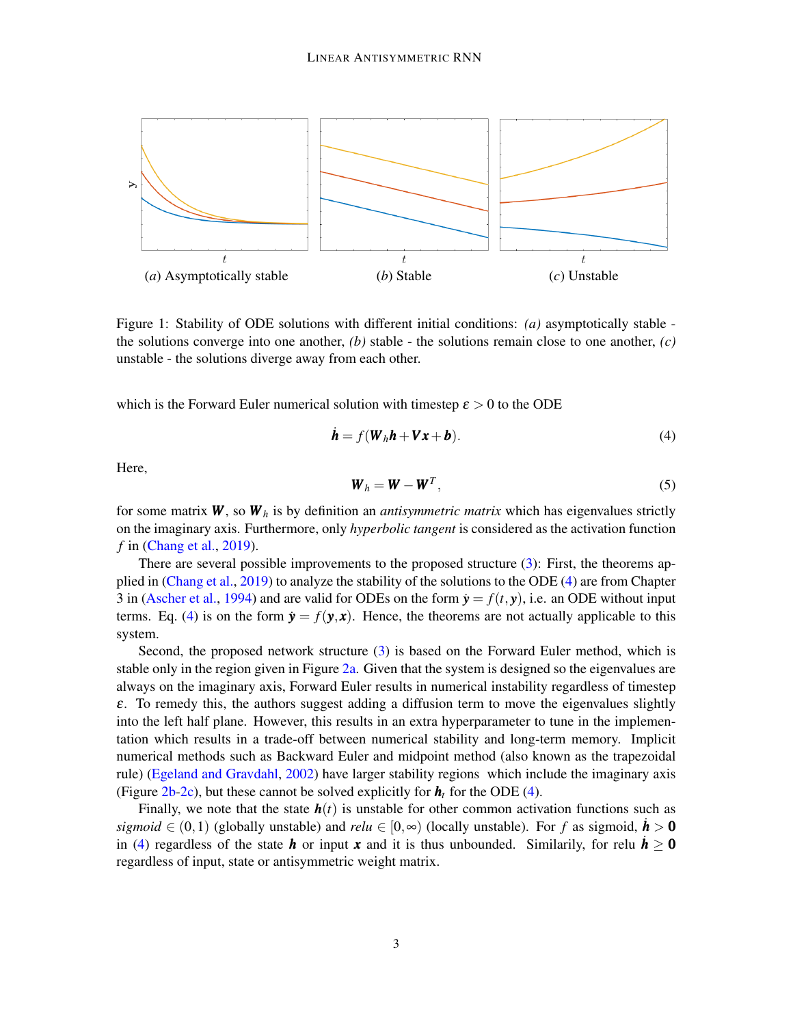<span id="page-2-0"></span>

Figure 1: Stability of ODE solutions with different initial conditions: *(a)* asymptotically stable the solutions converge into one another,  $(b)$  stable - the solutions remain close to one another,  $(c)$ unstable - the solutions diverge away from each other.

which is the Forward Euler numerical solution with timestep  $\varepsilon > 0$  to the ODE

<span id="page-2-1"></span>
$$
\dot{\boldsymbol{h}} = f(\boldsymbol{W}_h \boldsymbol{h} + \boldsymbol{V} \boldsymbol{x} + \boldsymbol{b}). \tag{4}
$$

Here,

$$
\boldsymbol{W}_h = \boldsymbol{W} - \boldsymbol{W}^T,\tag{5}
$$

for some matrix  $W$ , so  $W_h$  is by definition an *antisymmetric matrix* which has eigenvalues strictly on the imaginary axis. Furthermore, only *hyperbolic tangent* is considered as the activation function *f* in [\(Chang et al.,](#page-8-5) [2019\)](#page-8-5).

There are several possible improvements to the proposed structure [\(3\)](#page-1-2): First, the theorems applied in [\(Chang et al.,](#page-8-5) [2019\)](#page-8-5) to analyze the stability of the solutions to the ODE [\(4\)](#page-2-1) are from Chapter 3 in [\(Ascher et al.,](#page-8-7) [1994\)](#page-8-7) and are valid for ODEs on the form  $\dot{y} = f(t, y)$ , i.e. an ODE without input terms. Eq. [\(4\)](#page-2-1) is on the form  $\dot{y} = f(y, x)$ . Hence, the theorems are not actually applicable to this system.

Second, the proposed network structure [\(3\)](#page-1-2) is based on the Forward Euler method, which is stable only in the region given in Figure [2a.](#page-3-1) Given that the system is designed so the eigenvalues are always on the imaginary axis, Forward Euler results in numerical instability regardless of timestep  $\varepsilon$ . To remedy this, the authors suggest adding a diffusion term to move the eigenvalues slightly into the left half plane. However, this results in an extra hyperparameter to tune in the implementation which results in a trade-off between numerical stability and long-term memory. Implicit numerical methods such as Backward Euler and midpoint method (also known as the trapezoidal rule) [\(Egeland and Gravdahl,](#page-8-8) [2002\)](#page-8-8) have larger stability regions which include the imaginary axis (Figure  $2b-2c$  $2b-2c$ ), but these cannot be solved explicitly for  $h_t$  for the ODE [\(4\)](#page-2-1).

Finally, we note that the state  $h(t)$  is unstable for other common activation functions such as *sigmoid*  $\in (0,1)$  (globally unstable) and *relu*  $\in [0,\infty)$  (locally unstable). For *f* as sigmoid,  $\dot{h} > 0$ in [\(4\)](#page-2-1) regardless of the state *h* or input *x* and it is thus unbounded. Similarily, for relu  $h > 0$ regardless of input, state or antisymmetric weight matrix.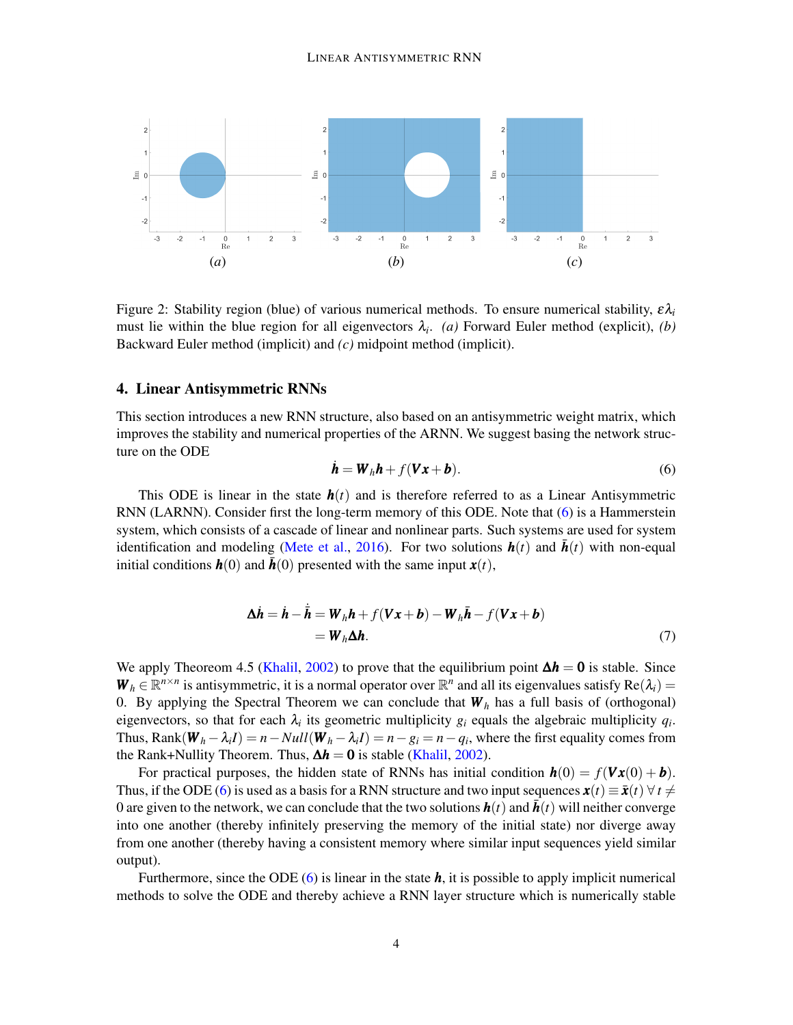<span id="page-3-1"></span>

<span id="page-3-2"></span>Figure 2: Stability region (blue) of various numerical methods. To ensure numerical stability,  $\epsilon \lambda_i$ must lie within the blue region for all eigenvectors  $\lambda_i$ . *(a)* Forward Euler method (explicit), *(b)* Backward Euler method (implicit) and *(c)* midpoint method (implicit).

#### <span id="page-3-0"></span>4. Linear Antisymmetric RNNs

This section introduces a new RNN structure, also based on an antisymmetric weight matrix, which improves the stability and numerical properties of the ARNN. We suggest basing the network structure on the ODE

<span id="page-3-4"></span><span id="page-3-3"></span>
$$
\dot{\boldsymbol{h}} = \boldsymbol{W}_h \boldsymbol{h} + f(\boldsymbol{V} \boldsymbol{x} + \boldsymbol{b}). \tag{6}
$$

This ODE is linear in the state  $h(t)$  and is therefore referred to as a Linear Antisymmetric RNN (LARNN). Consider first the long-term memory of this ODE. Note that [\(6\)](#page-3-4) is a Hammerstein system, which consists of a cascade of linear and nonlinear parts. Such systems are used for system identification and modeling [\(Mete et al.,](#page-8-9) [2016\)](#page-8-9). For two solutions  $h(t)$  and  $h(t)$  with non-equal initial conditions  $h(0)$  and  $h(0)$  presented with the same input  $x(t)$ ,

$$
\Delta \dot{\boldsymbol{h}} = \dot{\boldsymbol{h}} - \dot{\bar{\boldsymbol{h}}} = \boldsymbol{W}_h \boldsymbol{h} + f(\boldsymbol{V} \boldsymbol{x} + \boldsymbol{b}) - \boldsymbol{W}_h \bar{\boldsymbol{h}} - f(\boldsymbol{V} \boldsymbol{x} + \boldsymbol{b})
$$
  
=  $\boldsymbol{W}_h \Delta \boldsymbol{h}.$  (7)

We apply Theoreom 4.5 [\(Khalil,](#page-8-10) [2002\)](#page-8-10) to prove that the equilibrium point  $\Delta h = 0$  is stable. Since  $W_h \in \mathbb{R}^{n \times n}$  is antisymmetric, it is a normal operator over  $\mathbb{R}^n$  and all its eigenvalues satisfy  $Re(\lambda_i)$ 0. By applying the Spectral Theorem we can conclude that  $W_h$  has a full basis of (orthogonal) eigenvectors, so that for each  $\lambda_i$  its geometric multiplicity  $g_i$  equals the algebraic multiplicity  $q_i$ . Thus,  $\text{Rank}(\mathbf{W}_h - \lambda_i I) = n - Null(\mathbf{W}_h - \lambda_i I) = n - g_i = n - q_i$ , where the first equality comes from the Rank+Nullity Theorem. Thus,  $\Delta h = 0$  is stable [\(Khalil,](#page-8-10) [2002\)](#page-8-10).

For practical purposes, the hidden state of RNNs has initial condition  $h(0) = f(Vx(0) + b)$ . Thus, if the ODE [\(6\)](#page-3-4) is used as a basis for a RNN structure and two input sequences  $\mathbf{x}(t) \equiv \bar{\mathbf{x}}(t) \,\forall \, t \neq 0$ 0 are given to the network, we can conclude that the two solutions  $h(t)$  and  $h(t)$  will neither converge into one another (thereby infinitely preserving the memory of the initial state) nor diverge away from one another (thereby having a consistent memory where similar input sequences yield similar output).

Furthermore, since the ODE [\(6\)](#page-3-4) is linear in the state *h*, it is possible to apply implicit numerical methods to solve the ODE and thereby achieve a RNN layer structure which is numerically stable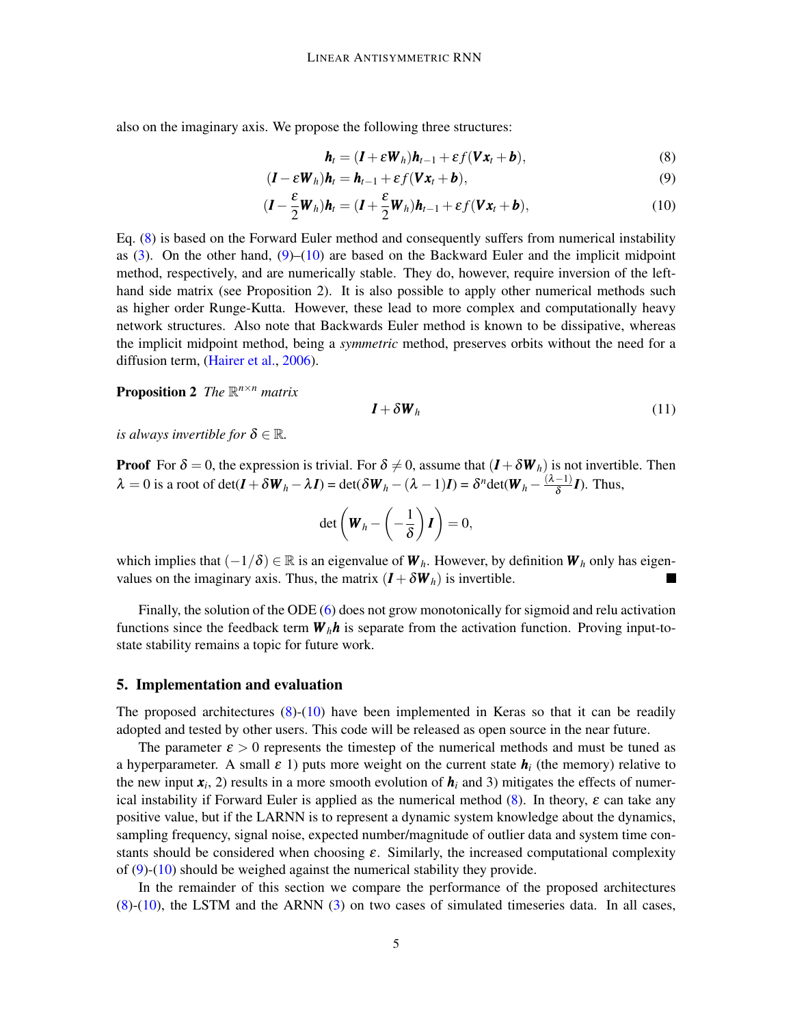also on the imaginary axis. We propose the following three structures:

<span id="page-4-3"></span><span id="page-4-2"></span><span id="page-4-1"></span>
$$
\boldsymbol{h}_t = (\boldsymbol{I} + \boldsymbol{\varepsilon} \boldsymbol{W}_h) \boldsymbol{h}_{t-1} + \boldsymbol{\varepsilon} f(\boldsymbol{V} \boldsymbol{x}_t + \boldsymbol{b}),
$$
\n(8)

$$
(\boldsymbol{I} - \boldsymbol{\varepsilon} \boldsymbol{W}_h) \boldsymbol{h}_t = \boldsymbol{h}_{t-1} + \boldsymbol{\varepsilon} f(\boldsymbol{V} \boldsymbol{x}_t + \boldsymbol{b}),
$$
\n(9)

$$
(\boldsymbol{I} - \frac{\boldsymbol{\varepsilon}}{2} \boldsymbol{W}_h) \boldsymbol{h}_t = (\boldsymbol{I} + \frac{\boldsymbol{\varepsilon}}{2} \boldsymbol{W}_h) \boldsymbol{h}_{t-1} + \varepsilon f(\boldsymbol{V} \boldsymbol{x}_t + \boldsymbol{b}),
$$
(10)

Eq. [\(8\)](#page-4-1) is based on the Forward Euler method and consequently suffers from numerical instability as  $(3)$ . On the other hand,  $(9)$ – $(10)$  are based on the Backward Euler and the implicit midpoint method, respectively, and are numerically stable. They do, however, require inversion of the lefthand side matrix (see Proposition 2). It is also possible to apply other numerical methods such as higher order Runge-Kutta. However, these lead to more complex and computationally heavy network structures. Also note that Backwards Euler method is known to be dissipative, whereas the implicit midpoint method, being a *symmetric* method, preserves orbits without the need for a diffusion term, [\(Hairer et al.,](#page-8-11) [2006\)](#page-8-11).

**Proposition 2** The  $\mathbb{R}^{n \times n}$  matrix

$$
\boldsymbol{I} + \delta \boldsymbol{W}_h \tag{11}
$$

*is always invertible for*  $\delta \in \mathbb{R}$ *.* 

**Proof** For  $\delta = 0$ , the expression is trivial. For  $\delta \neq 0$ , assume that  $(I + \delta W_h)$  is not invertible. Then  $\lambda = 0$  is a root of det( $\bm{I} + \delta \bm{W}_h - \lambda \bm{I}$ ) = det( $\delta \bm{W}_h - (\lambda - 1)\bm{I}$ ) =  $\delta^n$ det( $\bm{W}_h - \frac{(\lambda - 1)}{\delta}$  $\frac{-1}{\delta}I$ ). Thus,

$$
\det\left(\boldsymbol{W}_h-\left(-\frac{1}{\delta}\right)\boldsymbol{I}\right)=0,
$$

which implies that  $(-1/\delta) \in \mathbb{R}$  is an eigenvalue of  $W_h$ . However, by definition  $W_h$  only has eigenvalues on the imaginary axis. Thus, the matrix  $(I + \delta W_h)$  is invertible.

Finally, the solution of the ODE [\(6\)](#page-3-4) does not grow monotonically for sigmoid and relu activation functions since the feedback term  $W_h h$  is separate from the activation function. Proving input-tostate stability remains a topic for future work.

#### <span id="page-4-0"></span>5. Implementation and evaluation

The proposed architectures  $(8)-(10)$  $(8)-(10)$  $(8)-(10)$  have been implemented in Keras so that it can be readily adopted and tested by other users. This code will be released as open source in the near future.

The parameter  $\varepsilon > 0$  represents the timestep of the numerical methods and must be tuned as a hyperparameter. A small  $\varepsilon$  1) puts more weight on the current state  $h_i$  (the memory) relative to the new input  $x_i$ , 2) results in a more smooth evolution of  $h_i$  and 3) mitigates the effects of numerical instability if Forward Euler is applied as the numerical method  $(8)$ . In theory,  $\varepsilon$  can take any positive value, but if the LARNN is to represent a dynamic system knowledge about the dynamics, sampling frequency, signal noise, expected number/magnitude of outlier data and system time constants should be considered when choosing  $\varepsilon$ . Similarly, the increased computational complexity of [\(9\)](#page-4-2)-[\(10\)](#page-4-3) should be weighed against the numerical stability they provide.

In the remainder of this section we compare the performance of the proposed architectures  $(8)-(10)$  $(8)-(10)$  $(8)-(10)$ , the LSTM and the ARNN  $(3)$  on two cases of simulated timeseries data. In all cases,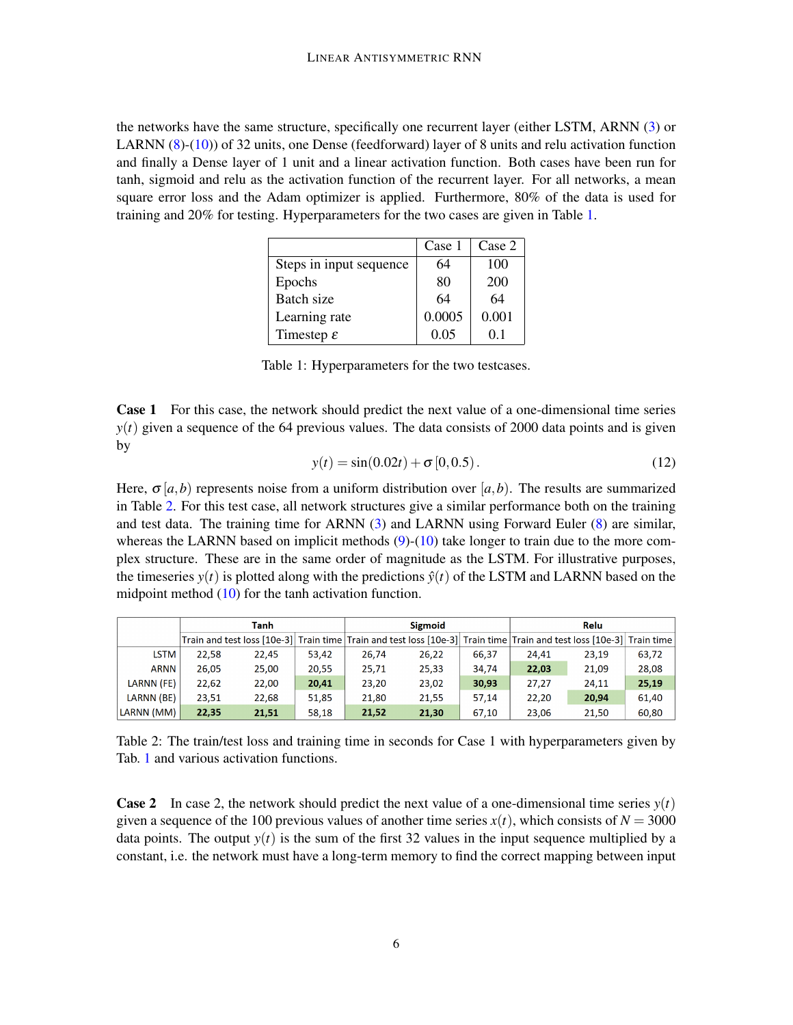<span id="page-5-0"></span>the networks have the same structure, specifically one recurrent layer (either LSTM, ARNN [\(3\)](#page-1-2) or LARNN [\(8\)](#page-4-1)-[\(10\)](#page-4-3)) of 32 units, one Dense (feedforward) layer of 8 units and relu activation function and finally a Dense layer of 1 unit and a linear activation function. Both cases have been run for tanh, sigmoid and relu as the activation function of the recurrent layer. For all networks, a mean square error loss and the Adam optimizer is applied. Furthermore, 80% of the data is used for training and 20% for testing. Hyperparameters for the two cases are given in Table [1.](#page-5-0)

|                         | Case 1 | Case 2         |
|-------------------------|--------|----------------|
| Steps in input sequence | 64     | 100            |
| Epochs                  | 80     | 200            |
| Batch size              | 64     | 64             |
| Learning rate           | 0.0005 | 0.001          |
| Timestep $\varepsilon$  | 0.05   | 0 <sub>1</sub> |

Table 1: Hyperparameters for the two testcases.

**Case 1** For this case, the network should predict the next value of a one-dimensional time series  $y(t)$  given a sequence of the 64 previous values. The data consists of 2000 data points and is given by

$$
y(t) = \sin(0.02t) + \sigma[0, 0.5).
$$
 (12)

Here,  $\sigma$  [a, b) represents noise from a uniform distribution over [a, b). The results are summarized in Table [2.](#page-5-1) For this test case, all network structures give a similar performance both on the training and test data. The training time for ARNN [\(3\)](#page-1-2) and LARNN using Forward Euler [\(8\)](#page-4-1) are similar, whereas the LARNN based on implicit methods  $(9)-(10)$  $(9)-(10)$  $(9)-(10)$  take longer to train due to the more complex structure. These are in the same order of magnitude as the LSTM. For illustrative purposes, the timeseries  $y(t)$  is plotted along with the predictions  $\hat{y}(t)$  of the LSTM and LARNN based on the midpoint method [\(10\)](#page-4-3) for the tanh activation function.

<span id="page-5-1"></span>

|             | Tanh  |       |       | <b>Sigmoid</b> |                                                                                                                      |       | Relu  |       |       |
|-------------|-------|-------|-------|----------------|----------------------------------------------------------------------------------------------------------------------|-------|-------|-------|-------|
|             |       |       |       |                | Train and test loss [10e-3] Train time Train and test loss [10e-3] Train time Train and test loss [10e-3] Train time |       |       |       |       |
| <b>LSTM</b> | 22.58 | 22,45 | 53,42 | 26,74          | 26,22                                                                                                                | 66,37 | 24,41 | 23,19 | 63,72 |
| <b>ARNN</b> | 26.05 | 25.00 | 20.55 | 25,71          | 25,33                                                                                                                | 34.74 | 22,03 | 21,09 | 28.08 |
| LARNN (FE)  | 22.62 | 22,00 | 20,41 | 23,20          | 23,02                                                                                                                | 30,93 | 27.27 | 24.11 | 25,19 |
| LARNN (BE)  | 23.51 | 22.68 | 51,85 | 21.80          | 21.55                                                                                                                | 57.14 | 22.20 | 20,94 | 61.40 |
| LARNN (MM)  | 22,35 | 21,51 | 58.18 | 21,52          | 21,30                                                                                                                | 67.10 | 23.06 | 21,50 | 60,80 |

Table 2: The train/test loss and training time in seconds for Case 1 with hyperparameters given by Tab. [1](#page-5-0) and various activation functions.

**Case 2** In case 2, the network should predict the next value of a one-dimensional time series  $y(t)$ given a sequence of the 100 previous values of another time series  $x(t)$ , which consists of  $N = 3000$ data points. The output  $y(t)$  is the sum of the first 32 values in the input sequence multiplied by a constant, i.e. the network must have a long-term memory to find the correct mapping between input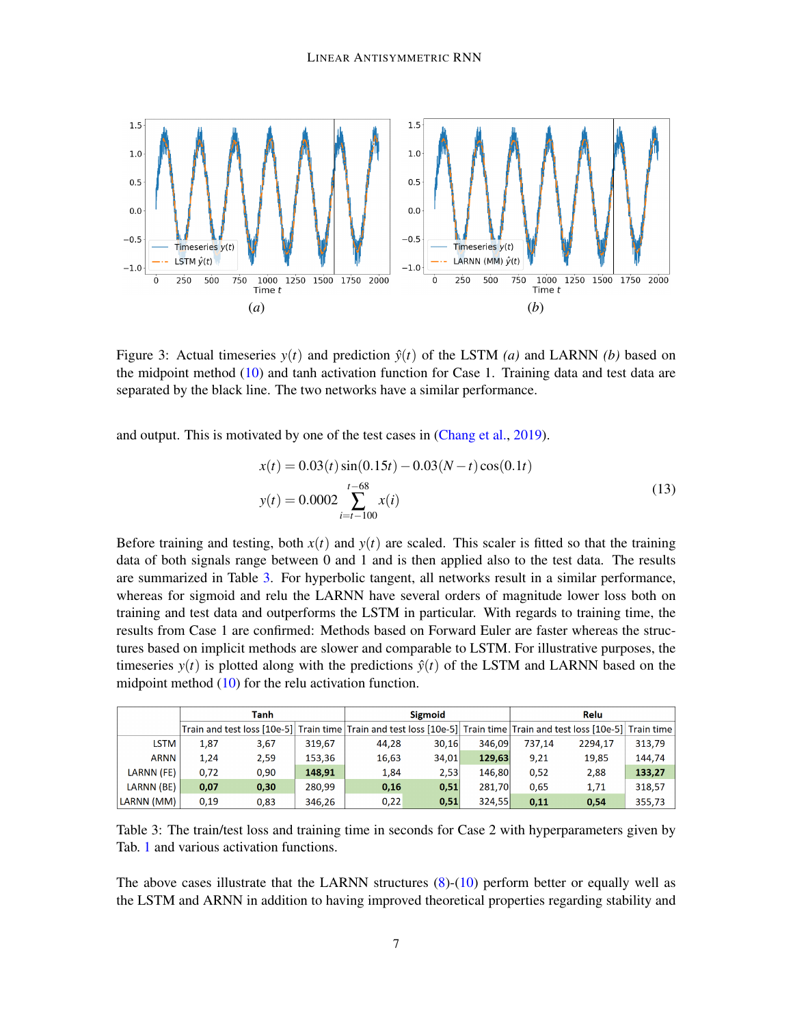

Figure 3: Actual timeseries  $y(t)$  and prediction  $\hat{y}(t)$  of the LSTM *(a)* and LARNN *(b)* based on the midpoint method [\(10\)](#page-4-3) and tanh activation function for Case 1. Training data and test data are separated by the black line. The two networks have a similar performance.

and output. This is motivated by one of the test cases in [\(Chang et al.,](#page-8-5) [2019\)](#page-8-5).

$$
x(t) = 0.03(t) \sin(0.15t) - 0.03(N - t) \cos(0.1t)
$$
  

$$
y(t) = 0.0002 \sum_{i=t-100}^{t-68} x(i)
$$
 (13)

Before training and testing, both  $x(t)$  and  $y(t)$  are scaled. This scaler is fitted so that the training data of both signals range between 0 and 1 and is then applied also to the test data. The results are summarized in Table [3.](#page-6-0) For hyperbolic tangent, all networks result in a similar performance, whereas for sigmoid and relu the LARNN have several orders of magnitude lower loss both on training and test data and outperforms the LSTM in particular. With regards to training time, the results from Case 1 are confirmed: Methods based on Forward Euler are faster whereas the structures based on implicit methods are slower and comparable to LSTM. For illustrative purposes, the timeseries  $y(t)$  is plotted along with the predictions  $\hat{y}(t)$  of the LSTM and LARNN based on the midpoint method [\(10\)](#page-4-3) for the relu activation function.

<span id="page-6-0"></span>

|             | Tanh |      |        | <b>Sigmoid</b>                                                                                                       |       |        | Relu   |         |        |
|-------------|------|------|--------|----------------------------------------------------------------------------------------------------------------------|-------|--------|--------|---------|--------|
|             |      |      |        | Train and test loss [10e-5] Train time Train and test loss [10e-5] Train time Train and test loss [10e-5] Train time |       |        |        |         |        |
| <b>LSTM</b> | 1.87 | 3.67 | 319.67 | 44.28                                                                                                                | 30.16 | 346.09 | 737.14 | 2294.17 | 313.79 |
| <b>ARNN</b> | 1.24 | 2.59 | 153.36 | 16,63                                                                                                                | 34,01 | 129,63 | 9.21   | 19,85   | 144.74 |
| LARNN (FE)  | 0.72 | 0.90 | 148.91 | 1,84                                                                                                                 | 2,53  | 146.80 | 0.52   | 2,88    | 133,27 |
| LARNN (BE)  | 0.07 | 0.30 | 280.99 | 0,16                                                                                                                 | 0.51  | 281.70 | 0.65   | 1,71    | 318.57 |
| LARNN (MM)  | 0.19 | 0.83 | 346,26 | 0.22                                                                                                                 | 0,51  | 324,55 | 0.11   | 0,54    | 355,73 |

Table 3: The train/test loss and training time in seconds for Case 2 with hyperparameters given by Tab. [1](#page-5-0) and various activation functions.

The above cases illustrate that the LARNN structures [\(8\)](#page-4-1)-[\(10\)](#page-4-3) perform better or equally well as the LSTM and ARNN in addition to having improved theoretical properties regarding stability and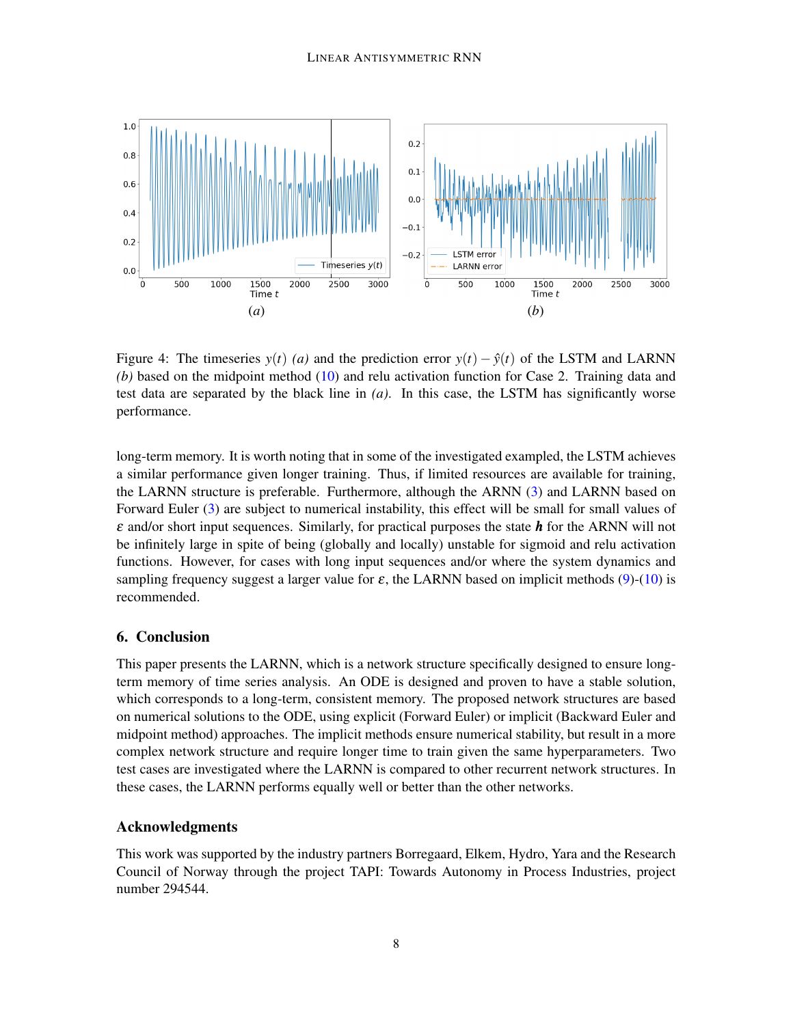

Figure 4: The timeseries  $y(t)$  (*a*) and the prediction error  $y(t) - \hat{y}(t)$  of the LSTM and LARNN *(b)* based on the midpoint method [\(10\)](#page-4-3) and relu activation function for Case 2. Training data and test data are separated by the black line in *(a)*. In this case, the LSTM has significantly worse performance.

long-term memory. It is worth noting that in some of the investigated exampled, the LSTM achieves a similar performance given longer training. Thus, if limited resources are available for training, the LARNN structure is preferable. Furthermore, although the ARNN [\(3\)](#page-1-2) and LARNN based on Forward Euler [\(3\)](#page-1-2) are subject to numerical instability, this effect will be small for small values of ε and/or short input sequences. Similarly, for practical purposes the state *h* for the ARNN will not be infinitely large in spite of being (globally and locally) unstable for sigmoid and relu activation functions. However, for cases with long input sequences and/or where the system dynamics and sampling frequency suggest a larger value for  $\varepsilon$ , the LARNN based on implicit methods [\(9\)](#page-4-2)-[\(10\)](#page-4-3) is recommended.

## <span id="page-7-0"></span>6. Conclusion

This paper presents the LARNN, which is a network structure specifically designed to ensure longterm memory of time series analysis. An ODE is designed and proven to have a stable solution, which corresponds to a long-term, consistent memory. The proposed network structures are based on numerical solutions to the ODE, using explicit (Forward Euler) or implicit (Backward Euler and midpoint method) approaches. The implicit methods ensure numerical stability, but result in a more complex network structure and require longer time to train given the same hyperparameters. Two test cases are investigated where the LARNN is compared to other recurrent network structures. In these cases, the LARNN performs equally well or better than the other networks.

## Acknowledgments

This work was supported by the industry partners Borregaard, Elkem, Hydro, Yara and the Research Council of Norway through the project TAPI: Towards Autonomy in Process Industries, project number 294544.